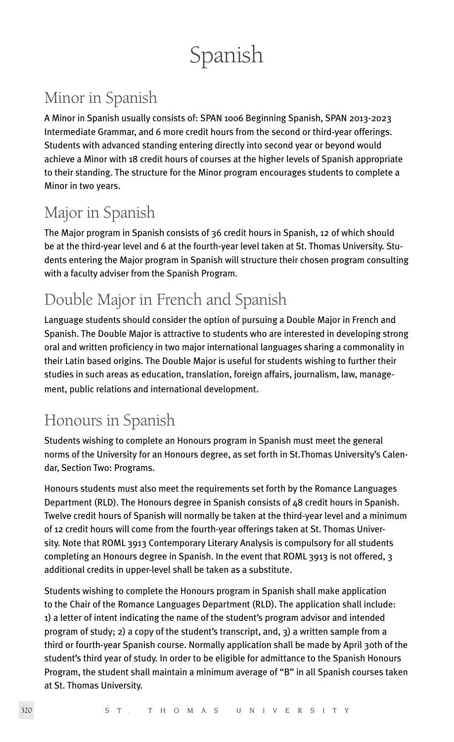# Spanish

# Minor in Spanish

A Minor in Spanish usually consists of: SPAN 1006 Beginning Spanish, SPAN 2013-2023 Intermediate Grammar, and 6 more credit hours from the second or third-year offerings. Students with advanced standing entering directly into second year or beyond would achieve a Minor with 18 credit hours of courses at the higher levels of Spanish appropriate to their standing. The structure for the Minor program encourages students to complete a Minor in two years.

# Major in Spanish

The Major program in Spanish consists of 36 credit hours in Spanish, 12 of which should be at the third-year level and 6 at the fourth-year level taken at St. Thomas University. Students entering the Major program in Spanish will structure their chosen program consulting with a faculty adviser from the Spanish Program.

# Double Major in French and Spanish

Language students should consider the option of pursuing a Double Major in French and Spanish. The Double Major is attractive to students who are interested in developing strong oral and written proficiency in two major international languages sharing a commonality in their Latin based origins. The Double Major is useful for students wishing to further their studies in such areas as education, translation, foreign affairs, journalism, law, management, public relations and international development.

# Honours in Spanish

Students wishing to complete an Honours program in Spanish must meet the general norms of the University for an Honours degree, as set forth in St.Thomas University's Calendar, Section Two: Programs.

Honours students must also meet the requirements set forth by the Romance Languages Department (RLD). The Honours degree in Spanish consists of 48 credit hours in Spanish. Twelve credit hours of Spanish will normally be taken at the third-year level and a minimum of 12 credit hours will come from the fourth-year offerings taken at St. Thomas University. Note that ROML 3913 Contemporary Literary Analysis is compulsory for all students completing an Honours degree in Spanish. In the event that ROML 3913 is not offered, 3 additional credits in upper-level shall be taken as a substitute.

Students wishing to complete the Honours program in Spanish shall make application to the Chair of the Romance Languages Department (RLD). The application shall include: 1) a letter of intent indicating the name of the student's program advisor and intended program of study; 2) a copy of the student's transcript, and, 3) a written sample from a third or fourth-year Spanish course. Normally application shall be made by April 30th of the student's third year of study. In order to be eligible for admittance to the Spanish Honours Program, the student shall maintain a minimum average of "B" in all Spanish courses taken at St. Thomas University.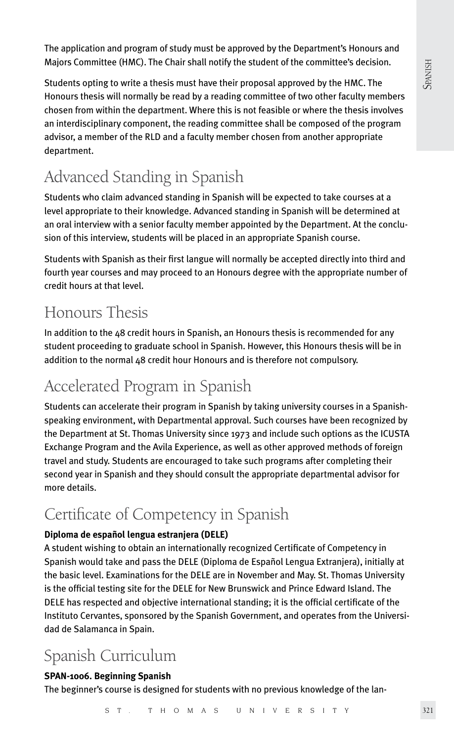**SPANISH** 

The application and program of study must be approved by the Department's Honours and Majors Committee (HMC). The Chair shall notify the student of the committee's decision.

Students opting to write a thesis must have their proposal approved by the HMC. The Honours thesis will normally be read by a reading committee of two other faculty members chosen from within the department. Where this is not feasible or where the thesis involves an interdisciplinary component, the reading committee shall be composed of the program advisor, a member of the RLD and a faculty member chosen from another appropriate department.

# Advanced Standing in Spanish

Students who claim advanced standing in Spanish will be expected to take courses at a level appropriate to their knowledge. Advanced standing in Spanish will be determined at an oral interview with a senior faculty member appointed by the Department. At the conclusion of this interview, students will be placed in an appropriate Spanish course.

Students with Spanish as their first langue will normally be accepted directly into third and fourth year courses and may proceed to an Honours degree with the appropriate number of credit hours at that level.

# Honours Thesis

In addition to the 48 credit hours in Spanish, an Honours thesis is recommended for any student proceeding to graduate school in Spanish. However, this Honours thesis will be in addition to the normal 48 credit hour Honours and is therefore not compulsory.

# Accelerated Program in Spanish

Students can accelerate their program in Spanish by taking university courses in a Spanishspeaking environment, with Departmental approval. Such courses have been recognized by the Department at St. Thomas University since 1973 and include such options as the ICUSTA Exchange Program and the Avila Experience, as well as other approved methods of foreign travel and study. Students are encouraged to take such programs after completing their second year in Spanish and they should consult the appropriate departmental advisor for more details.

# Certificate of Competency in Spanish

# **Diploma de español lengua estranjera (DELE)**

A student wishing to obtain an internationally recognized Certificate of Competency in Spanish would take and pass the DELE (Diploma de Español Lengua Extranjera), initially at the basic level. Examinations for the DELE are in November and May. St. Thomas University is the official testing site for the DELE for New Brunswick and Prince Edward Island. The DELE has respected and objective international standing; it is the official certificate of the Instituto Cervantes, sponsored by the Spanish Government, and operates from the Universidad de Salamanca in Spain.

# Spanish Curriculum

# **SPAN-1006. Beginning Spanish**

The beginner's course is designed for students with no previous knowledge of the lan-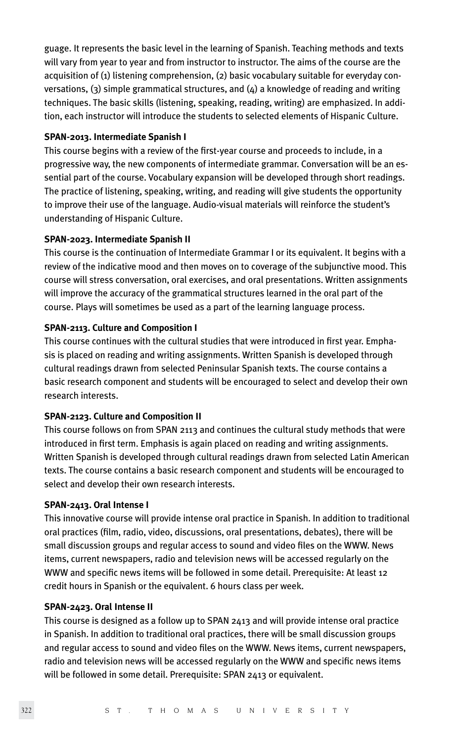guage. It represents the basic level in the learning of Spanish. Teaching methods and texts will vary from year to year and from instructor to instructor. The aims of the course are the acquisition of (1) listening comprehension, (2) basic vocabulary suitable for everyday conversations,  $(3)$  simple grammatical structures, and  $(4)$  a knowledge of reading and writing techniques. The basic skills (listening, speaking, reading, writing) are emphasized. In addition, each instructor will introduce the students to selected elements of Hispanic Culture.

#### **SPAN-2013. Intermediate Spanish I**

This course begins with a review of the first-year course and proceeds to include, in a progressive way, the new components of intermediate grammar. Conversation will be an essential part of the course. Vocabulary expansion will be developed through short readings. The practice of listening, speaking, writing, and reading will give students the opportunity to improve their use of the language. Audio-visual materials will reinforce the student's understanding of Hispanic Culture.

#### **SPAN-2023. Intermediate Spanish II**

This course is the continuation of Intermediate Grammar I or its equivalent. It begins with a review of the indicative mood and then moves on to coverage of the subjunctive mood. This course will stress conversation, oral exercises, and oral presentations. Written assignments will improve the accuracy of the grammatical structures learned in the oral part of the course. Plays will sometimes be used as a part of the learning language process.

#### **SPAN-2113. Culture and Composition I**

This course continues with the cultural studies that were introduced in first year. Emphasis is placed on reading and writing assignments. Written Spanish is developed through cultural readings drawn from selected Peninsular Spanish texts. The course contains a basic research component and students will be encouraged to select and develop their own research interests.

#### **SPAN-2123. Culture and Composition II**

This course follows on from SPAN 2113 and continues the cultural study methods that were introduced in first term. Emphasis is again placed on reading and writing assignments. Written Spanish is developed through cultural readings drawn from selected Latin American texts. The course contains a basic research component and students will be encouraged to select and develop their own research interests.

#### **SPAN-2413. Oral Intense I**

This innovative course will provide intense oral practice in Spanish. In addition to traditional oral practices (film, radio, video, discussions, oral presentations, debates), there will be small discussion groups and regular access to sound and video files on the WWW. News items, current newspapers, radio and television news will be accessed regularly on the WWW and specific news items will be followed in some detail. Prerequisite: At least 12 credit hours in Spanish or the equivalent. 6 hours class per week.

#### **SPAN-2423. Oral Intense II**

This course is designed as a follow up to SPAN 2413 and will provide intense oral practice in Spanish. In addition to traditional oral practices, there will be small discussion groups and regular access to sound and video files on the WWW. News items, current newspapers, radio and television news will be accessed regularly on the WWW and specific news items will be followed in some detail. Prerequisite: SPAN 2413 or equivalent.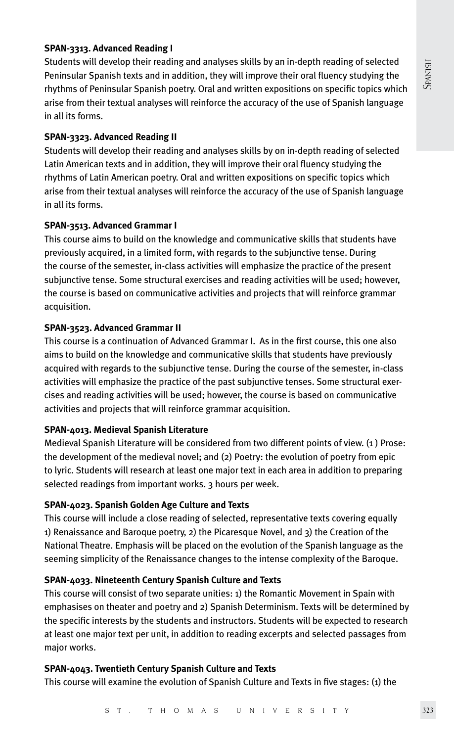#### **SPAN-3313. Advanced Reading I**

Students will develop their reading and analyses skills by an in-depth reading of selected Peninsular Spanish texts and in addition, they will improve their oral fluency studying the rhythms of Peninsular Spanish poetry. Oral and written expositions on specific topics which arise from their textual analyses will reinforce the accuracy of the use of Spanish language in all its forms.

#### **SPAN-3323. Advanced Reading II**

Students will develop their reading and analyses skills by on in-depth reading of selected Latin American texts and in addition, they will improve their oral fluency studying the rhythms of Latin American poetry. Oral and written expositions on specific topics which arise from their textual analyses will reinforce the accuracy of the use of Spanish language in all its forms.

#### **SPAN-3513. Advanced Grammar I**

This course aims to build on the knowledge and communicative skills that students have previously acquired, in a limited form, with regards to the subjunctive tense. During the course of the semester, in-class activities will emphasize the practice of the present subjunctive tense. Some structural exercises and reading activities will be used; however, the course is based on communicative activities and projects that will reinforce grammar acquisition.

#### **SPAN-3523. Advanced Grammar II**

This course is a continuation of Advanced Grammar I. As in the first course, this one also aims to build on the knowledge and communicative skills that students have previously acquired with regards to the subjunctive tense. During the course of the semester, in-class activities will emphasize the practice of the past subjunctive tenses. Some structural exercises and reading activities will be used; however, the course is based on communicative activities and projects that will reinforce grammar acquisition.

#### **SPAN-4013. Medieval Spanish Literature**

Medieval Spanish Literature will be considered from two different points of view. (1 ) Prose: the development of the medieval novel; and (2) Poetry: the evolution of poetry from epic to lyric. Students will research at least one major text in each area in addition to preparing selected readings from important works. 3 hours per week.

### **SPAN-4023. Spanish Golden Age Culture and Texts**

This course will include a close reading of selected, representative texts covering equally 1) Renaissance and Baroque poetry, 2) the Picaresque Novel, and 3) the Creation of the National Theatre. Emphasis will be placed on the evolution of the Spanish language as the seeming simplicity of the Renaissance changes to the intense complexity of the Baroque.

#### **SPAN-4033. Nineteenth Century Spanish Culture and Texts**

This course will consist of two separate unities: 1) the Romantic Movement in Spain with emphasises on theater and poetry and 2) Spanish Determinism. Texts will be determined by the specific interests by the students and instructors. Students will be expected to research at least one major text per unit, in addition to reading excerpts and selected passages from major works.

#### **SPAN-4043. Twentieth Century Spanish Culture and Texts**

This course will examine the evolution of Spanish Culture and Texts in five stages: (1) the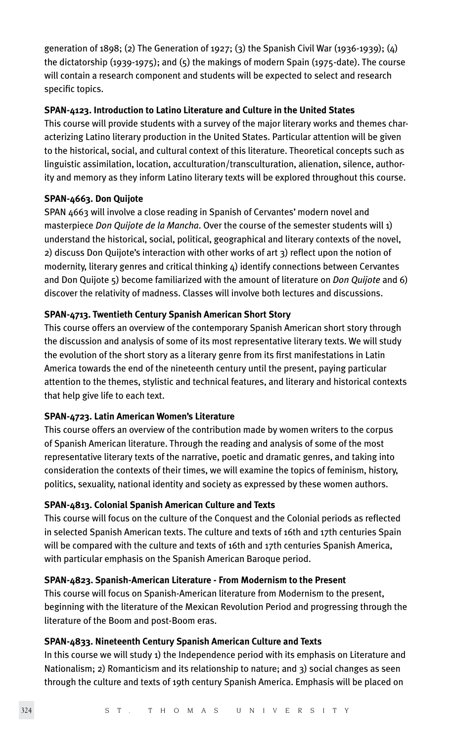generation of 1898; (2) The Generation of 1927; (3) the Spanish Civil War (1936-1939); (4) the dictatorship (1939-1975); and (5) the makings of modern Spain (1975-date). The course will contain a research component and students will be expected to select and research specific topics.

### **SPAN-4123. Introduction to Latino Literature and Culture in the United States**

This course will provide students with a survey of the major literary works and themes characterizing Latino literary production in the United States. Particular attention will be given to the historical, social, and cultural context of this literature. Theoretical concepts such as linguistic assimilation, location, acculturation/transculturation, alienation, silence, authority and memory as they inform Latino literary texts will be explored throughout this course.

### **SPAN-4663. Don Quijote**

SPAN 4663 will involve a close reading in Spanish of Cervantes' modern novel and masterpiece *Don Quijote de la Mancha*. Over the course of the semester students will 1) understand the historical, social, political, geographical and literary contexts of the novel, 2) discuss Don Quijote's interaction with other works of art 3) reflect upon the notion of modernity, literary genres and critical thinking  $4$ ) identify connections between Cervantes and Don Quijote 5) become familiarized with the amount of literature on *Don Quijote* and 6) discover the relativity of madness. Classes will involve both lectures and discussions.

### **SPAN-4713. Twentieth Century Spanish American Short Story**

This course offers an overview of the contemporary Spanish American short story through the discussion and analysis of some of its most representative literary texts. We will study the evolution of the short story as a literary genre from its first manifestations in Latin America towards the end of the nineteenth century until the present, paying particular attention to the themes, stylistic and technical features, and literary and historical contexts that help give life to each text.

#### **SPAN-4723. Latin American Women's Literature**

This course offers an overview of the contribution made by women writers to the corpus of Spanish American literature. Through the reading and analysis of some of the most representative literary texts of the narrative, poetic and dramatic genres, and taking into consideration the contexts of their times, we will examine the topics of feminism, history, politics, sexuality, national identity and society as expressed by these women authors.

### **SPAN-4813. Colonial Spanish American Culture and Texts**

This course will focus on the culture of the Conquest and the Colonial periods as reflected in selected Spanish American texts. The culture and texts of 16th and 17th centuries Spain will be compared with the culture and texts of 16th and 17th centuries Spanish America, with particular emphasis on the Spanish American Baroque period.

### **SPAN-4823. Spanish-American Literature - From Modernism to the Present**

This course will focus on Spanish-American literature from Modernism to the present, beginning with the literature of the Mexican Revolution Period and progressing through the literature of the Boom and post-Boom eras.

### **SPAN-4833. Nineteenth Century Spanish American Culture and Texts**

In this course we will study 1) the Independence period with its emphasis on Literature and Nationalism; 2) Romanticism and its relationship to nature; and 3) social changes as seen through the culture and texts of 19th century Spanish America. Emphasis will be placed on